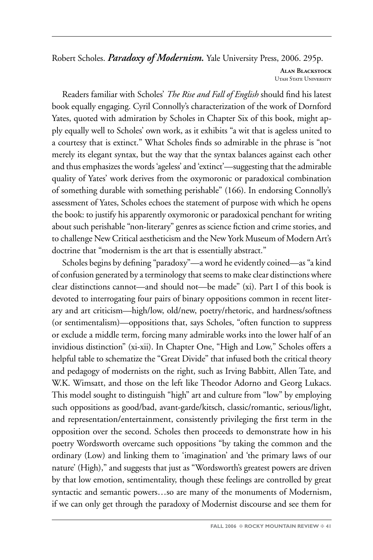Robert Scholes. *Paradoxy of Modernism.* Yale University Press, 2006. 295p.

**Alan Blackstock** Utah State University

Readers familiar with Scholes' *The Rise and Fall of English* should find his latest book equally engaging. Cyril Connolly's characterization of the work of Dornford Yates, quoted with admiration by Scholes in Chapter Six of this book, might apply equally well to Scholes' own work, as it exhibits "a wit that is ageless united to a courtesy that is extinct." What Scholes finds so admirable in the phrase is "not merely its elegant syntax, but the way that the syntax balances against each other and thus emphasizes the words 'ageless' and 'extinct'—suggesting that the admirable quality of Yates' work derives from the oxymoronic or paradoxical combination of something durable with something perishable" (166). In endorsing Connolly's assessment of Yates, Scholes echoes the statement of purpose with which he opens the book: to justify his apparently oxymoronic or paradoxical penchant for writing about such perishable "non-literary" genres as science fiction and crime stories, and to challenge New Critical aestheticism and the New York Museum of Modern Art's doctrine that "modernism is the art that is essentially abstract."

Scholes begins by defining "paradoxy"—a word he evidently coined—as "a kind of confusion generated by a terminology that seems to make clear distinctions where clear distinctions cannot—and should not—be made" (xi). Part I of this book is devoted to interrogating four pairs of binary oppositions common in recent literary and art criticism—high/low, old/new, poetry/rhetoric, and hardness/softness (or sentimentalism)—oppositions that, says Scholes, "often function to suppress or exclude a middle term, forcing many admirable works into the lower half of an invidious distinction" (xi-xii). In Chapter One, "High and Low," Scholes offers a helpful table to schematize the "Great Divide" that infused both the critical theory and pedagogy of modernists on the right, such as Irving Babbitt, Allen Tate, and W.K. Wimsatt, and those on the left like Theodor Adorno and Georg Lukacs. This model sought to distinguish "high" art and culture from "low" by employing such oppositions as good/bad, avant-garde/kitsch, classic/romantic, serious/light, and representation/entertainment, consistently privileging the first term in the opposition over the second. Scholes then proceeds to demonstrate how in his poetry Wordsworth overcame such oppositions "by taking the common and the ordinary (Low) and linking them to 'imagination' and 'the primary laws of our nature' (High)," and suggests that just as "Wordsworth's greatest powers are driven by that low emotion, sentimentality, though these feelings are controlled by great syntactic and semantic powers…so are many of the monuments of Modernism, if we can only get through the paradoxy of Modernist discourse and see them for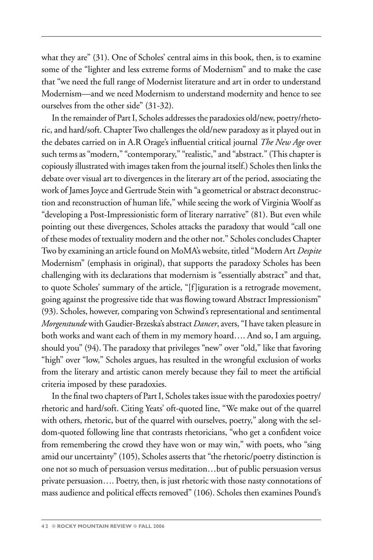what they are" (31). One of Scholes' central aims in this book, then, is to examine some of the "lighter and less extreme forms of Modernism" and to make the case that "we need the full range of Modernist literature and art in order to understand Modernism—and we need Modernism to understand modernity and hence to see ourselves from the other side" (31-32).

In the remainder of Part I, Scholes addresses the paradoxies old/new, poetry/rhetoric, and hard/soft. Chapter Two challenges the old/new paradoxy as it played out in the debates carried on in A.R Orage's influential critical journal *The New Age* over such terms as "modern," "contemporary," "realistic," and "abstract." (This chapter is copiously illustrated with images taken from the journal itself.) Scholes then links the debate over visual art to divergences in the literary art of the period, associating the work of James Joyce and Gertrude Stein with "a geometrical or abstract deconstruction and reconstruction of human life," while seeing the work of Virginia Woolf as "developing a Post-Impressionistic form of literary narrative" (81). But even while pointing out these divergences, Scholes attacks the paradoxy that would "call one of these modes of textuality modern and the other not." Scholes concludes Chapter Two by examining an article found on MoMA's website, titled "Modern Art *Despite*  Modernism" (emphasis in original), that supports the paradoxy Scholes has been challenging with its declarations that modernism is "essentially abstract" and that, to quote Scholes' summary of the article, "[f]iguration is a retrograde movement, going against the progressive tide that was flowing toward Abstract Impressionism" (93). Scholes, however, comparing von Schwind's representational and sentimental *Morgenstunde* with Gaudier-Brzeska's abstract *Dancer*, avers, "I have taken pleasure in both works and want each of them in my memory hoard…. And so, I am arguing, should you" (94). The paradoxy that privileges "new" over "old," like that favoring "high" over "low," Scholes argues, has resulted in the wrongful exclusion of works from the literary and artistic canon merely because they fail to meet the artificial criteria imposed by these paradoxies.

In the final two chapters of Part I, Scholes takes issue with the parodoxies poetry/ rhetoric and hard/soft. Citing Yeats' oft-quoted line, "We make out of the quarrel with others, rhetoric, but of the quarrel with ourselves, poetry," along with the seldom-quoted following line that contrasts rhetoricians, "who get a confident voice from remembering the crowd they have won or may win," with poets, who "sing amid our uncertainty" (105), Scholes asserts that "the rhetoric/poetry distinction is one not so much of persuasion versus meditation…but of public persuasion versus private persuasion…. Poetry, then, is just rhetoric with those nasty connotations of mass audience and political effects removed" (106). Scholes then examines Pound's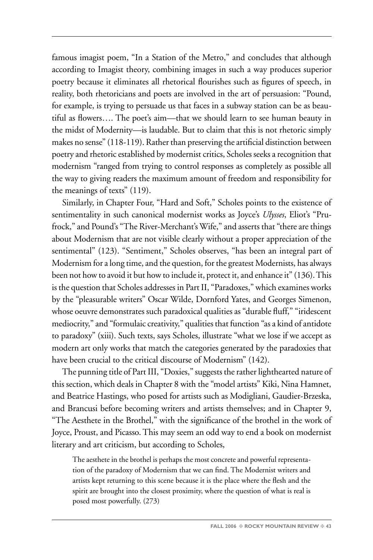famous imagist poem, "In a Station of the Metro," and concludes that although according to Imagist theory, combining images in such a way produces superior poetry because it eliminates all rhetorical flourishes such as figures of speech, in reality, both rhetoricians and poets are involved in the art of persuasion: "Pound, for example, is trying to persuade us that faces in a subway station can be as beautiful as flowers…. The poet's aim—that we should learn to see human beauty in the midst of Modernity—is laudable. But to claim that this is not rhetoric simply makes no sense" (118-119). Rather than preserving the artificial distinction between poetry and rhetoric established by modernist critics, Scholes seeks a recognition that modernism "ranged from trying to control responses as completely as possible all the way to giving readers the maximum amount of freedom and responsibility for the meanings of texts" (119).

Similarly, in Chapter Four, "Hard and Soft," Scholes points to the existence of sentimentality in such canonical modernist works as Joyce's *Ulysses*, Eliot's "Prufrock," and Pound's "The River-Merchant's Wife," and asserts that "there are things about Modernism that are not visible clearly without a proper appreciation of the sentimental" (123). "Sentiment," Scholes observes, "has been an integral part of Modernism for a long time, and the question, for the greatest Modernists, has always been not how to avoid it but how to include it, protect it, and enhance it" (136). This is the question that Scholes addresses in Part II, "Paradoxes," which examines works by the "pleasurable writers" Oscar Wilde, Dornford Yates, and Georges Simenon, whose oeuvre demonstrates such paradoxical qualities as "durable fluff," "iridescent mediocrity," and "formulaic creativity," qualities that function "as a kind of antidote to paradoxy" (xiii). Such texts, says Scholes, illustrate "what we lose if we accept as modern art only works that match the categories generated by the paradoxies that have been crucial to the critical discourse of Modernism" (142).

The punning title of Part III, "Doxies," suggests the rather lighthearted nature of this section, which deals in Chapter 8 with the "model artists" Kiki, Nina Hamnet, and Beatrice Hastings, who posed for artists such as Modigliani, Gaudier-Brzeska, and Brancusi before becoming writers and artists themselves; and in Chapter 9, "The Aesthete in the Brothel," with the significance of the brothel in the work of Joyce, Proust, and Picasso. This may seem an odd way to end a book on modernist literary and art criticism, but according to Scholes,

The aesthete in the brothel is perhaps the most concrete and powerful representation of the paradoxy of Modernism that we can find. The Modernist writers and artists kept returning to this scene because it is the place where the flesh and the spirit are brought into the closest proximity, where the question of what is real is posed most powerfully. (273)